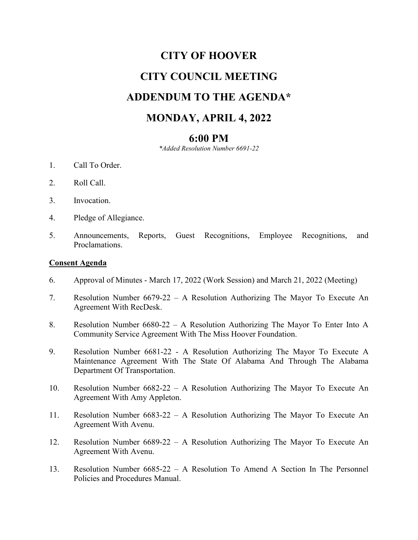# **CITY OF HOOVER CITY COUNCIL MEETING ADDENDUM TO THE AGENDA\* MONDAY, APRIL 4, 2022**

## **6:00 PM**

*\*Added Resolution Number 6691-22*

- 1. Call To Order.
- 2. Roll Call.
- 3. Invocation.
- 4. Pledge of Allegiance.
- 5. Announcements, Reports, Guest Recognitions, Employee Recognitions, and Proclamations.

#### **Consent Agenda**

- 6. Approval of Minutes March 17, 2022 (Work Session) and March 21, 2022 (Meeting)
- 7. Resolution Number 6679-22 A Resolution Authorizing The Mayor To Execute An Agreement With RecDesk.
- 8. Resolution Number 6680-22 A Resolution Authorizing The Mayor To Enter Into A Community Service Agreement With The Miss Hoover Foundation.
- 9. Resolution Number 6681-22 A Resolution Authorizing The Mayor To Execute A Maintenance Agreement With The State Of Alabama And Through The Alabama Department Of Transportation.
- 10. Resolution Number 6682-22 A Resolution Authorizing The Mayor To Execute An Agreement With Amy Appleton.
- 11. Resolution Number 6683-22 A Resolution Authorizing The Mayor To Execute An Agreement With Avenu.
- 12. Resolution Number 6689-22 A Resolution Authorizing The Mayor To Execute An Agreement With Avenu.
- 13. Resolution Number 6685-22 A Resolution To Amend A Section In The Personnel Policies and Procedures Manual.